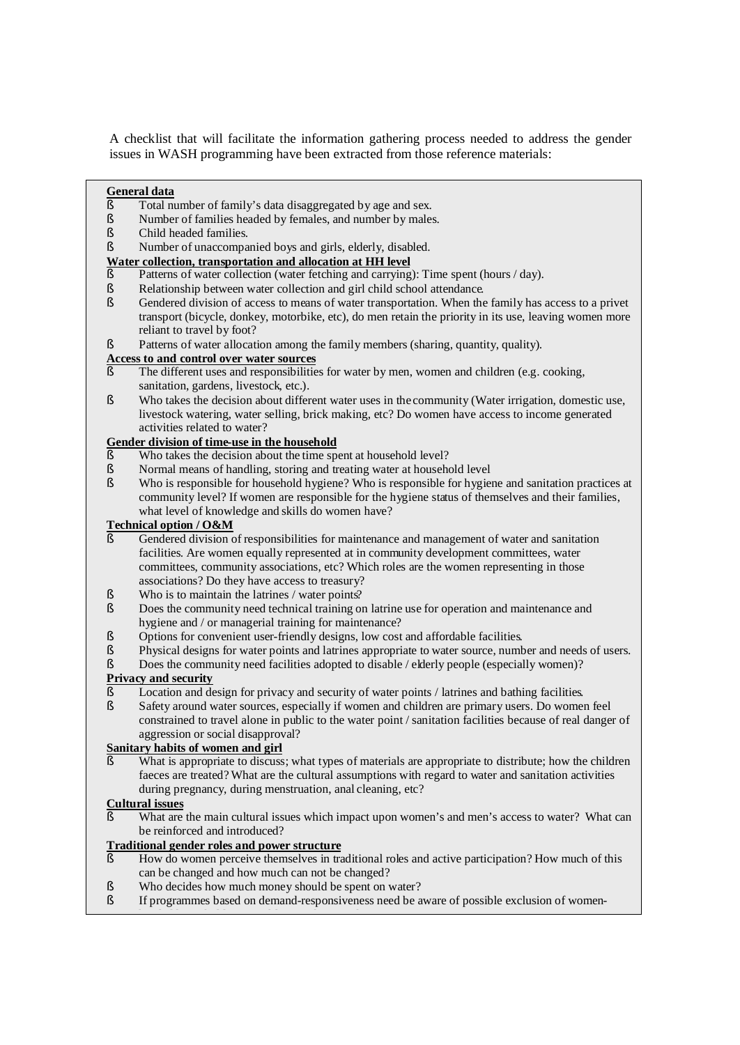A checklist that will facilitate the information gathering process needed to address the gender issues in WASH programming have been extracted from those reference materials:

#### **General data**

- § Total number of family's data disaggregated by age and sex.
- § Number of families headed by females, and number by males.
- § Child headed families.
- § Number of unaccompanied boys and girls, elderly, disabled.

#### **Water collection, transportation and allocation at HH level**

- § Patterns of water collection (water fetching and carrying): Time spent (hours / day).
- § Relationship between water collection and girl child school attendance.
- § Gendered division of access to means of water transportation. When the family has access to a privet transport (bicycle, donkey, motorbike, etc), do men retain the priority in its use, leaving women more reliant to travel by foot?
- § Patterns of water allocation among the family members (sharing, quantity, quality).

#### **Access to and control over water sources**

- $§$  The different uses and responsibilities for water by men, women and children (e.g. cooking, sanitation, gardens, livestock, etc.).
- § Who takes the decision about different water uses in the community (Water irrigation, domestic use, livestock watering, water selling, brick making, etc? Do women have access to income generated activities related to water?

## **Gender division of time-use in the household**

- § Who takes the decision about the time spent at household level?
- Subsemingth Subsemingth Mormal means of handling, storing and treating water at household level Subsemingth Subsemingth Subsemingth Subsemingth Subsemingth Subsemingth Subsemingth Subsemingth Subsemingth Subsemingth Subsem
- Who is responsible for household hygiene? Who is responsible for hygiene and sanitation practices at community level? If women are responsible for the hygiene status of themselves and their families, what level of knowledge and skills do women have?

#### **Technical option / O&M**

- § Gendered division of responsibilities for maintenance and management of water and sanitation facilities. Are women equally represented at in community development committees, water committees, community associations, etc? Which roles are the women representing in those associations? Do they have access to treasury?
- § Who is to maintain the latrines / water points?
- § Does the community need technical training on latrine use for operation and maintenance and hygiene and / or managerial training for maintenance?
- § Options for convenient user-friendly designs, low cost and affordable facilities.
- § Physical designs for water points and latrines appropriate to water source, number and needs of users.
- § Does the community need facilities adopted to disable / elderly people (especially women)?

## **Privacy and security**

- § Location and design for privacy and security of water points / latrines and bathing facilities.
- § Safety around water sources, especially if women and children are primary users. Do women feel constrained to travel alone in public to the water point / sanitation facilities because of real danger of aggression or social disapproval?

#### **Sanitary habits of women and girl**

What is appropriate to discuss; what types of materials are appropriate to distribute; how the children faeces are treated? What are the cultural assumptions with regard to water and sanitation activities during pregnancy, during menstruation, anal cleaning, etc?

#### **Cultural issues**

What are the main cultural issues which impact upon women's and men's access to water? What can be reinforced and introduced?

#### **Traditional gender roles and power structure**

- § How do women perceive themselves in traditional roles and active participation? How much of this can be changed and how much can not be changed?
- § Who decides how much money should be spent on water?

headed households are unable to make contributions.

§ If programmes based on demand-responsiveness need be aware of possible exclusion of women-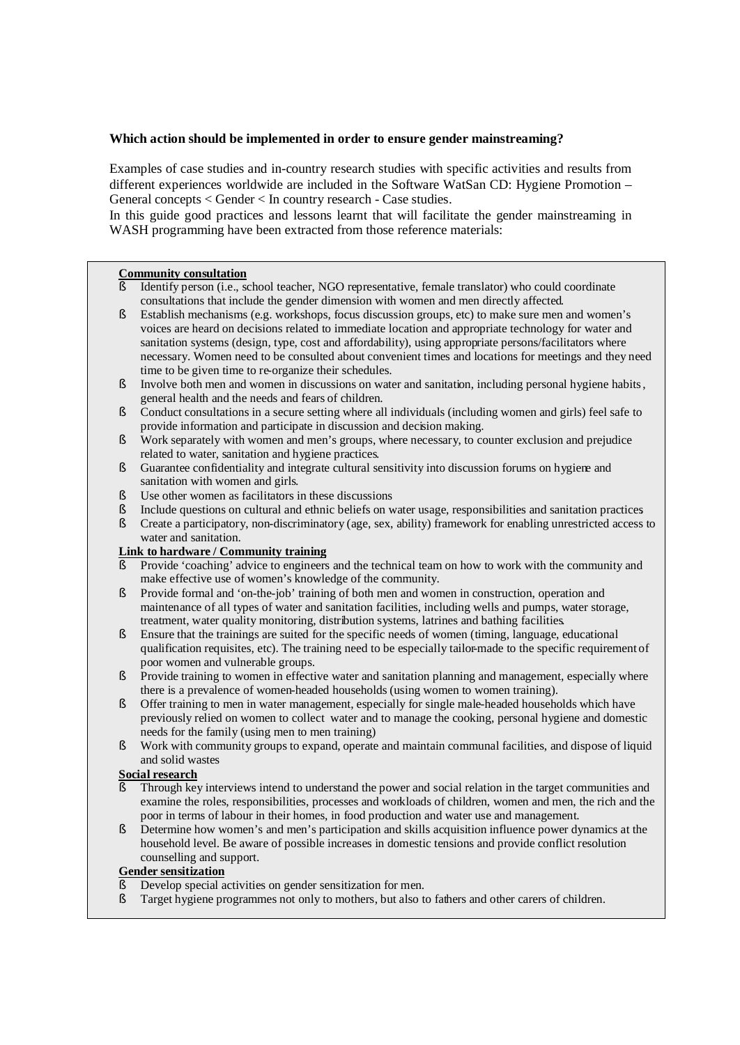## **Which action should be implemented in order to ensure gender mainstreaming?**

Examples of case studies and in-country research studies with specific activities and results from different experiences worldwide are included in the Software WatSan CD: Hygiene Promotion – General concepts < Gender < In country research - Case studies.

In this guide good practices and lessons learnt that will facilitate the gender mainstreaming in WASH programming have been extracted from those reference materials:

#### **Community consultation**

- § Identify person (i.e., school teacher, NGO representative, female translator) who could coordinate consultations that include the gender dimension with women and men directly affected.
- § Establish mechanisms (e.g. workshops, focus discussion groups, etc) to make sure men and women's voices are heard on decisions related to immediate location and appropriate technology for water and sanitation systems (design, type, cost and affordability), using appropriate persons/facilitators where necessary. Women need to be consulted about convenient times and locations for meetings and they need time to be given time to re-organize their schedules.
- § Involve both men and women in discussions on water and sanitation, including personal hygiene habits, general health and the needs and fears of children.
- § Conduct consultations in a secure setting where all individuals (including women and girls) feel safe to provide information and participate in discussion and decision making.
- § Work separately with women and men's groups, where necessary, to counter exclusion and prejudice related to water, sanitation and hygiene practices.
- § Guarantee confidentiality and integrate cultural sensitivity into discussion forums on hygiene and sanitation with women and girls.
- § Use other women as facilitators in these discussions
- § Include questions on cultural and ethnic beliefs on water usage, responsibilities and sanitation practices.
- § Create a participatory, non-discriminatory (age, sex, ability) framework for enabling unrestricted access to water and sanitation.

#### **Link to hardware / Community training**

- Provide 'coaching' advice to engineers and the technical team on how to work with the community and make effective use of women's knowledge of the community.
- § Provide formal and 'on-the-job' training of both men and women in construction, operation and maintenance of all types of water and sanitation facilities, including wells and pumps, water storage, treatment, water quality monitoring, distribution systems, latrines and bathing facilities.
- § Ensure that the trainings are suited for the specific needs of women (timing, language, educational qualification requisites, etc). The training need to be especially tailor-made to the specific requirement of poor women and vulnerable groups.
- § Provide training to women in effective water and sanitation planning and management, especially where there is a prevalence of women-headed households (using women to women training).
- § Offer training to men in water management, especially for single male-headed households which have previously relied on women to collect water and to manage the cooking, personal hygiene and domestic needs for the family (using men to men training)
- § Work with community groups to expand, operate and maintain communal facilities, and dispose of liquid and solid wastes

# **Social research**

- Through key interviews intend to understand the power and social relation in the target communities and examine the roles, responsibilities, processes and workloads of children, women and men, the rich and the poor in terms of labour in their homes, in food production and water use and management.
- § Determine how women's and men's participation and skills acquisition influence power dynamics at the household level. Be aware of possible increases in domestic tensions and provide conflict resolution counselling and support.

# **Gender sensitization**

- Develop special activities on gender sensitization for men.
- § Target hygiene programmes not only to mothers, but also to fathers and other carers of children.